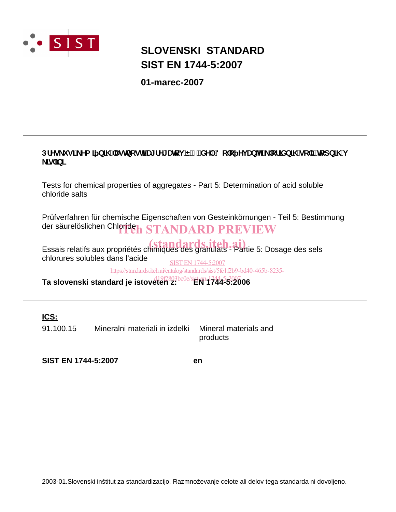

# **SLOVENSKI STANDARD SIST EN 1744-5:2007**

**01-marec-2007**

# DfYg\_i g]'\_Ya ] b]\ "Uglbcgh**]'U**[fY[Urcj E') "XY.'8c'c Yj Ub^Y'\_'cf]Xb]\ 'gc']žlrcdb]\ 'j **<u>\_</u>]g`]b]**

Tests for chemical properties of aggregates - Part 5: Determination of acid soluble chloride salts

Prüfverfahren für chemische Eigenschaften von Gesteinkörnungen - Teil 5: Bestimmung der säurelöslichen Chlorideh STANDARD PREVIEW

Essais relatifs aux propriétés chimiques des granulats - Partie 5: Dosage des sels chlorures solubles dans l'acide SIST EN 1744-5:2007

https://standards.iteh.ai/catalog/standards/sist/5fc1f2b9-bd40-465b-8235-

**Ta slovenski standard je istoveten z: EN 1744-5:2006** d19f2803bc0e/sist-en-1744-5-2007

**ICS:**

91.100.15 Mineralni materiali in izdelki Mineral materials and products

**SIST EN 1744-5:2007 en**

2003-01.Slovenski inštitut za standardizacijo. Razmnoževanje celote ali delov tega standarda ni dovoljeno.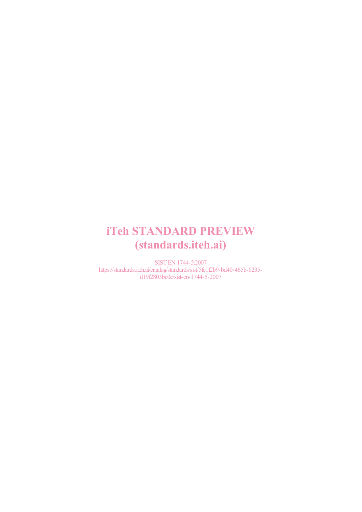# iTeh STANDARD PREVIEW (standards.iteh.ai)

SIST EN 1744-5:2007 https://standards.iteh.ai/catalog/standards/sist/5fc1f2b9-bd40-465b-8235 d19f2803bc0e/sist-en-1744-5-2007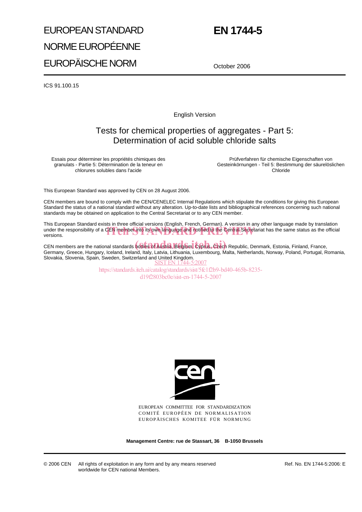# EUROPEAN STANDARD NORME EUROPÉENNE EUROPÄISCHE NORM

# **EN 1744-5**

October 2006

ICS 91.100.15

English Version

# Tests for chemical properties of aggregates - Part 5: Determination of acid soluble chloride salts

Essais pour déterminer les propriétés chimiques des granulats - Partie 5: Détermination de la teneur en chlorures solubles dans l'acide

Prüfverfahren für chemische Eigenschaften von Gesteinkörnungen - Teil 5: Bestimmung der säurelöslichen Chloride

This European Standard was approved by CEN on 28 August 2006.

CEN members are bound to comply with the CEN/CENELEC Internal Regulations which stipulate the conditions for giving this European Standard the status of a national standard without any alteration. Up-to-date lists and bibliographical references concerning such national standards may be obtained on application to the Central Secretariat or to any CEN member.

This European Standard exists in three official versions (English, French, German). A version in any other language made by translation This European bandard exists in three embatricistics (English, French, Seman). A version in any other language made by translation<br>under the responsibility of a CEN member into its own language and notified to the Central versions.

CEN members are the national standards **bodies of Austria, Belgium, Cyprus, Czech** Republic, Denmark, Estonia, Finland, France, Germany, Greece, Hungary, Iceland, Ireland, Italy, Latvia, Lithuania, Luxembourg, Malta, Netherlands, Norway, Poland, Portugal, Romania, Slovakia, Slovenia, Spain, Sweden, Switzerland and United Kingdom. SIST EN 1744-5:2007

> https://standards.iteh.ai/catalog/standards/sist/5fc1f2b9-bd40-465b-8235 d19f2803bc0e/sist-en-1744-5-2007



EUROPEAN COMMITTEE FOR STANDARDIZATION COMITÉ EUROPÉEN DE NORMALISATION EUROPÄISCHES KOMITEE FÜR NORMUNG

**Management Centre: rue de Stassart, 36 B-1050 Brussels**

Ref. No. EN 1744-5:2006: E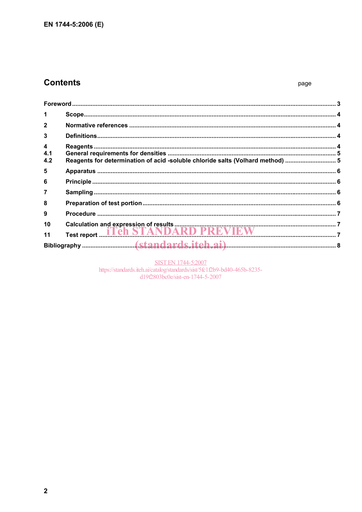# **Contents**

| $\mathbf{1}$    |                                                                                |  |
|-----------------|--------------------------------------------------------------------------------|--|
| $\overline{2}$  |                                                                                |  |
| 3               |                                                                                |  |
| 4<br>4.1<br>4.2 | Reagents for determination of acid -soluble chloride salts (Volhard method)  5 |  |
| 5               |                                                                                |  |
| 6               |                                                                                |  |
| $\overline{7}$  |                                                                                |  |
| 8               |                                                                                |  |
| 9               |                                                                                |  |
| 10              |                                                                                |  |
| 11              |                                                                                |  |
|                 |                                                                                |  |

SIST EN 1744-5:2007<br>https://standards.iteh.ai/catalog/standards/sist/5fc1f2b9-bd40-465b-8235d19f2803bc0e/sist-en-1744-5-2007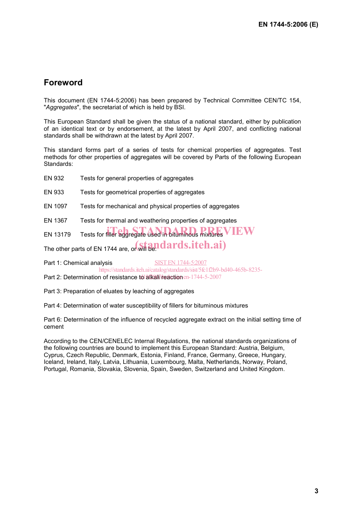# **Foreword**

This document (EN 1744-5:2006) has been prepared by Technical Committee CEN/TC 154, "*Aggregates*", the secretariat of which is held by BSI.

This European Standard shall be given the status of a national standard, either by publication of an identical text or by endorsement, at the latest by April 2007, and conflicting national standards shall be withdrawn at the latest by April 2007.

This standard forms part of a series of tests for chemical properties of aggregates. Test methods for other properties of aggregates will be covered by Parts of the following European Standards:

EN 932 Tests for general properties of aggregates

EN 933 Tests for geometrical properties of aggregates

EN 1097 Tests for mechanical and physical properties of aggregates

EN 1367 Tests for thermal and weathering properties of aggregates

 $EN 13179$  Tests for filler aggregate used in bituminous mixtures  $VEW$ 

The other parts of EN 1744 are, or will **andards.itch.ai**)

Part 1: Chemical analysis SIST EN 1744-5:2007 https://standards.iteh.ai/catalog/standards/sist/5fc1f2b9-bd40-465b-8235-

Part 2: Determination of resistance to alkaliBreaction en-1744-5-2007

Part 3: Preparation of eluates by leaching of aggregates

Part 4: Determination of water susceptibility of fillers for bituminous mixtures

Part 6: Determination of the influence of recycled aggregate extract on the initial setting time of cement

According to the CEN/CENELEC Internal Regulations, the national standards organizations of the following countries are bound to implement this European Standard: Austria, Belgium, Cyprus, Czech Republic, Denmark, Estonia, Finland, France, Germany, Greece, Hungary, Iceland, Ireland, Italy, Latvia, Lithuania, Luxembourg, Malta, Netherlands, Norway, Poland, Portugal, Romania, Slovakia, Slovenia, Spain, Sweden, Switzerland and United Kingdom.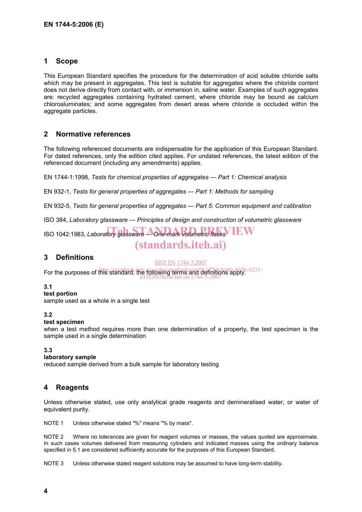## **1 Scope**

This European Standard specifies the procedure for the determination of acid soluble chloride salts which may be present in aggregates. This test is suitable for aggregates where the chloride content does not derive directly from contact with, or immersion in, saline water. Examples of such aggregates are: recycled aggregates containing hydrated cement, where chloride may be bound as calcium chloroaluminates; and some aggregates from desert areas where chloride is occluded within the aggregate particles.

## **2 Normative references**

The following referenced documents are indispensable for the application of this European Standard. For dated references, only the edition cited applies. For undated references, the latest edition of the referenced document (including any amendments) applies.

EN 1744-1:1998, *Tests for chemical properties of aggregates — Part 1: Chemical analysis*

EN 932-1, *Tests for general properties of aggregates — Part 1: Methods for sampling*

EN 932-5, *Tests for general properties of aggregates — Part 5: Common equipment and calibration* 

ISO 384, *Laboratory glassware — Principles of design and construction of volumetric glassware*

**ISO 1042:1983,** *Laboratory glassware* A one-mark volumetric flasks VIEW

# (standards.iteh.ai)

## **3 Definitions**

SIST EN 1744-5:2007

For the purposes of this //standards.iteh.ai/gratalog/standards/sist/5fc1f2b9-bd40-465b-8235d19f2803bc0e/sist-en-1744-5-2007

#### **3.1**

**test portion** 

sample used as a whole in a single test

#### **3.2**

#### **test specimen**

when a test method requires more than one determination of a property, the test specimen is the sample used in a single determination

#### **3.3**

#### **laboratory sample**

reduced sample derived from a bulk sample for laboratory testing

## **4 Reagents**

Unless otherwise stated, use only analytical grade reagents and demineralised water, or water of equivalent purity.

NOTE 1 Unless otherwise stated "%" means "% by mass".

NOTE 2 Where no tolerances are given for reagent volumes or masses, the values quoted are approximate. In such cases volumes delivered from measuring cylinders and indicated masses using the ordinary balance specified in 5.1 are considered sufficiently accurate for the purposes of this European Standard.

NOTE 3 Unless otherwise stated reagent solutions may be assumed to have long-term stability.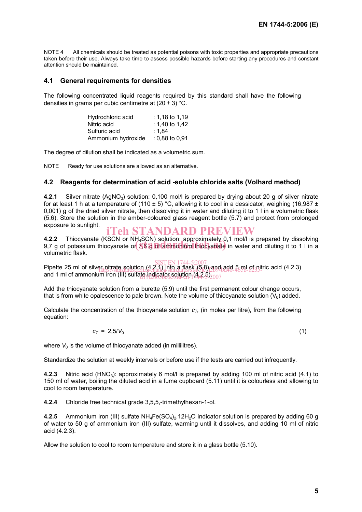NOTE 4 All chemicals should be treated as potential poisons with toxic properties and appropriate precautions taken before their use. Always take time to assess possible hazards before starting any procedures and constant attention should be maintained.

#### **4.1 General requirements for densities**

The following concentrated liquid reagents required by this standard shall have the following densities in grams per cubic centimetre at  $(20 \pm 3)$  °C.

| Hydrochloric acid  | $: 1.18$ to 1.19 |
|--------------------|------------------|
| Nitric acid        | : 1.40 to 1.42   |
| Sulfuric acid      | ∶ 1.84           |
| Ammonium hydroxide | $: 0.88$ to 0.91 |

The degree of dilution shall be indicated as a volumetric sum.

NOTE Ready for use solutions are allowed as an alternative.

#### **4.2 Reagents for determination of acid -soluble chloride salts (Volhard method)**

**4.2.1** Silver nitrate (AgNO<sub>3</sub>) solution: 0,100 mol/l is prepared by drying about 20 g of silver nitrate for at least 1 h at a temperature of (110  $\pm$  5) °C, allowing it to cool in a dessicator, weighing (16,987  $\pm$ 0,001) g of the dried silver nitrate, then dissolving it in water and diluting it to 1 l in a volumetric flask (5.6). Store the solution in the amber-coloured glass reagent bottle (5.7) and protect from prolonged exposure to sunlight. iTeh STANDARD PREVIEW

**4.2.2** Thiocyanate (KSCN or NH4SCN) solution: approximately 0,1 mol/l is prepared by dissolving 4.2.2 I mocyanate (KSCN or NH<sub>4</sub>SCN) solution: approximately 0,1 mol/i is prepared by dissolving<br>9,7 g of potassium thiocyanate or **7,6 g of ammonium thiocyanate** in water and diluting it to 1 l in a volumetric flask.

SIST EN 1744-5:2007<br>Pipette 25 ml of silver nitrate solution (4.2.1) into a flask (5.8) and add 5 ml of nitric acid (4.2.3) and 1 ml of ammonium iron (III) sulfate indicator solution (4.2.5) $_{2007}$ at. httrate\_solution\_4.c<sub>atalog</sub>/standards/sist/5fc2fc99-bd40-465b-8235-i

Add the thiocyanate solution from a burette (5.9) until the first permanent colour change occurs, that is from white opalescence to pale brown. Note the volume of thiocyanate solution  $(V_0)$  added.

Calculate the concentration of the thiocyanate solution  $c<sub>T</sub>$ , (in moles per litre), from the following equation:

$$
c_T = 2.5/V_0 \tag{1}
$$

where  $V_0$  is the volume of thiocyanate added (in millilitres).

Standardize the solution at weekly intervals or before use if the tests are carried out infrequently.

**4.2.3** Nitric acid (HNO<sub>3</sub>): approximately 6 mol/l is prepared by adding 100 ml of nitric acid (4.1) to 150 ml of water, boiling the diluted acid in a fume cupboard (5.11) until it is colourless and allowing to cool to room temperature.

**4.2.4** Chloride free technical grade 3,5,5,-trimethylhexan-1-ol.

**4.2.5** Ammonium iron (III) sulfate NH<sub>4</sub>Fe(SO<sub>4</sub>)<sub>2</sub>.12H<sub>2</sub>O indicator solution is prepared by adding 60 g of water to 50 g of ammonium iron (III) sulfate, warming until it dissolves, and adding 10 ml of nitric acid (4.2.3).

Allow the solution to cool to room temperature and store it in a glass bottle (5.10).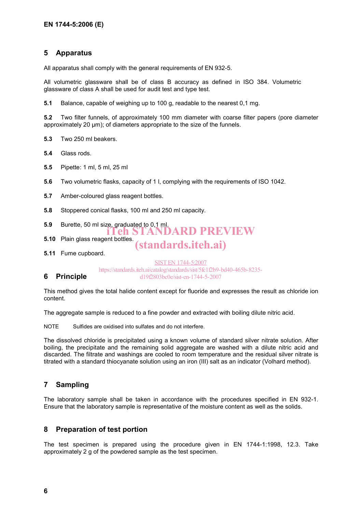# **5 Apparatus**

All apparatus shall comply with the general requirements of EN 932-5.

All volumetric glassware shall be of class B accuracy as defined in ISO 384. Volumetric glassware of class A shall be used for audit test and type test.

**5.1** Balance, capable of weighing up to 100 g, readable to the nearest 0,1 mg.

**5.2** Two filter funnels, of approximately 100 mm diameter with coarse filter papers (pore diameter approximately 20  $\mu$ m); of diameters appropriate to the size of the funnels.

**5.3** Two 250 ml beakers.

- **5.4** Glass rods.
- **5.5** Pipette: 1 ml, 5 ml, 25 ml
- **5.6** Two volumetric flasks, capacity of 1 l, complying with the requirements of ISO 1042.
- **5.7** Amber-coloured glass reagent bottles.
- **5.8** Stoppered conical flasks, 100 ml and 250 ml capacity.
- **5.9** Burette, 50 ml size, graduated to 0,1 ml. iTeh STANDARD PREVIEW
- **5.10** Plain glass reagent bottles.
- (standards.iteh.ai)
- **5.11** Fume cupboard.

SIST EN 1744-5:2007 https://standards.iteh.ai/catalog/standards/sist/5fc1f2b9-bd40-465b-8235 d19f2803bc0e/sist-en-1744-5-2007

## **6 Principle**

This method gives the total halide content except for fluoride and expresses the result as chloride ion content.

The aggregate sample is reduced to a fine powder and extracted with boiling dilute nitric acid.

NOTE Sulfides are oxidised into sulfates and do not interfere.

The dissolved chloride is precipitated using a known volume of standard silver nitrate solution. After boiling, the precipitate and the remaining solid aggregate are washed with a dilute nitric acid and discarded. The filtrate and washings are cooled to room temperature and the residual silver nitrate is titrated with a standard thiocyanate solution using an iron (III) salt as an indicator (Volhard method).

## **7 Sampling**

The laboratory sample shall be taken in accordance with the procedures specified in EN 932-1. Ensure that the laboratory sample is representative of the moisture content as well as the solids.

## **8 Preparation of test portion**

The test specimen is prepared using the procedure given in EN 1744-1:1998, 12.3. Take approximately 2 g of the powdered sample as the test specimen.